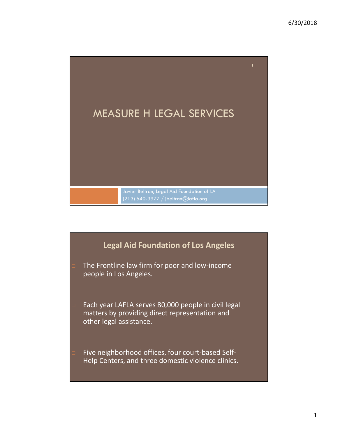

## Legal Aid Foundation of Los Angeles

- **The Frontline law firm for poor and low-income** people in Los Angeles.
- □ Each year LAFLA serves 80,000 people in civil legal matters by providing direct representation and other legal assistance.
- □ Five neighborhood offices, four court-based Self-Help Centers, and three domestic violence clinics.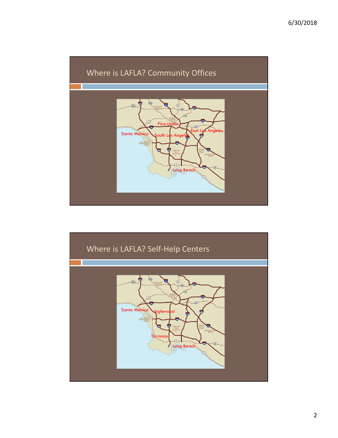



2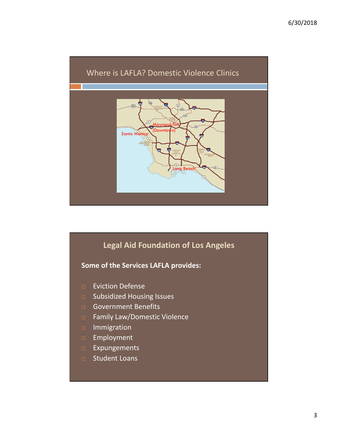

## Legal Aid Foundation of Los Angeles Some of the Services LAFLA provides:

- **Eviction Defense**
- □ Subsidized Housing Issues
- Government Benefits
- □ Family Law/Domestic Violence
- Immigration
- **Employment**
- Expungements
- □ Student Loans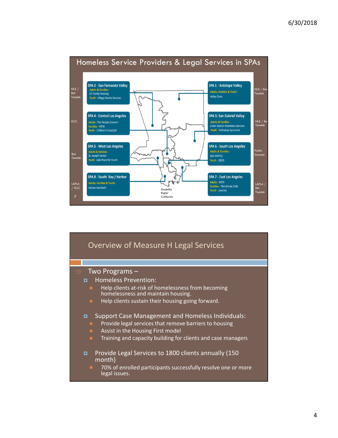

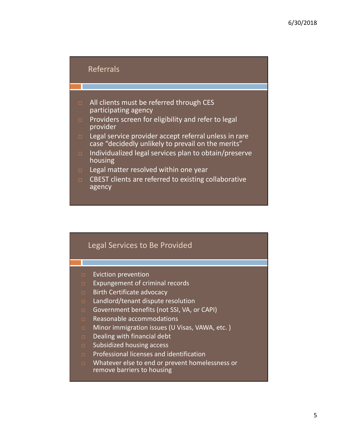## Referrals

- $\Box$  All clients must be referred through CES participating agency
- **Providers screen for eligibility and refer to legal** provider
- Legal service provider accept referral unless in rare case "decidedly unlikely to prevail on the merits"
- $\Box$  Individualized legal services plan to obtain/preserve housing
- $\Box$  Legal matter resolved within one year
- $\Box$  CBEST clients are referred to existing collaborative agency

## Legal Services to Be Provided

- **Eviction prevention**
- $E$  Expungement of criminal records
- $\Box$  Birth Certificate advocacy
- $\Box$  Landlord/tenant dispute resolution
- Government benefits (not SSI, VA, or CAPI)
- Reasonable accommodations
- □ Minor immigration issues (U Visas, VAWA, etc.)
- $\Box$  Dealing with financial debt
- $\Box$  Subsidized housing access
- **Professional licenses and identification**
- **In** Whatever else to end or prevent homelessness or remove barriers to housing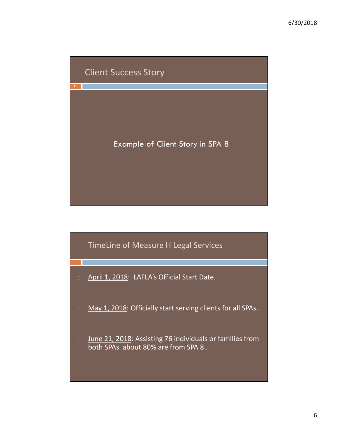